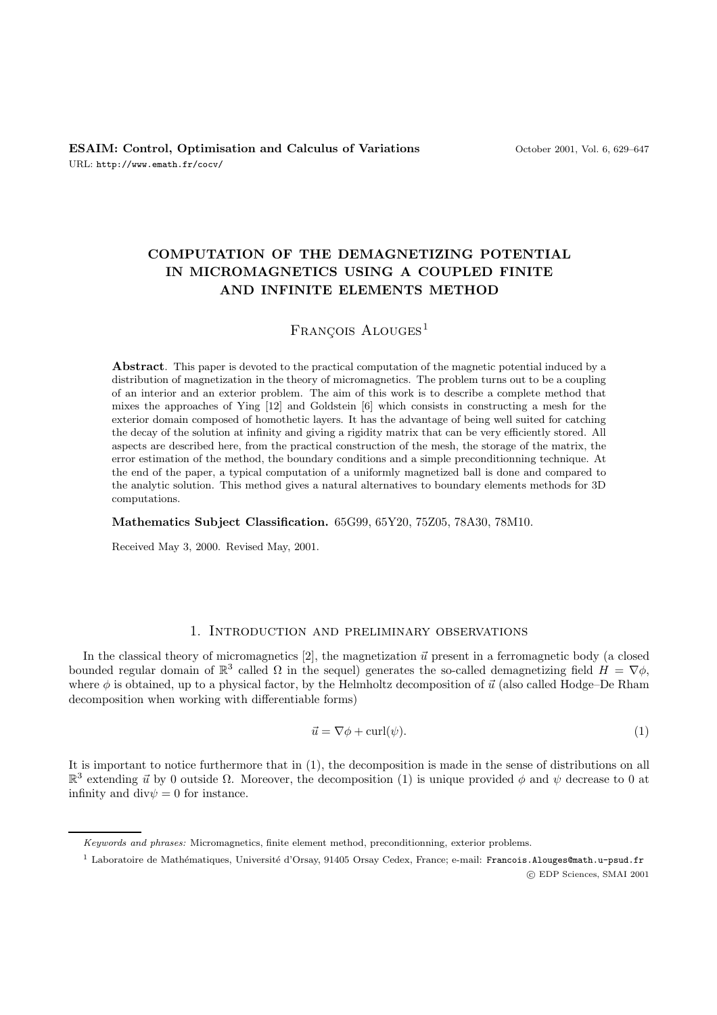# **COMPUTATION OF THE DEMAGNETIZING POTENTIAL IN MICROMAGNETICS USING A COUPLED FINITE AND INFINITE ELEMENTS METHOD**

## $FRANCOIS$  ALOUGES<sup>1</sup>

**Abstract**. This paper is devoted to the practical computation of the magnetic potential induced by a distribution of magnetization in the theory of micromagnetics. The problem turns out to be a coupling of an interior and an exterior problem. The aim of this work is to describe a complete method that mixes the approaches of Ying [12] and Goldstein [6] which consists in constructing a mesh for the exterior domain composed of homothetic layers. It has the advantage of being well suited for catching the decay of the solution at infinity and giving a rigidity matrix that can be very efficiently stored. All aspects are described here, from the practical construction of the mesh, the storage of the matrix, the error estimation of the method, the boundary conditions and a simple preconditionning technique. At the end of the paper, a typical computation of a uniformly magnetized ball is done and compared to the analytic solution. This method gives a natural alternatives to boundary elements methods for 3D computations.

**Mathematics Subject Classification.** 65G99, 65Y20, 75Z05, 78A30, 78M10.

Received May 3, 2000. Revised May, 2001.

## 1. Introduction and preliminary observations

In the classical theory of micromagnetics [2], the magnetization  $\vec{u}$  present in a ferromagnetic body (a closed bounded regular domain of  $\mathbb{R}^3$  called  $\Omega$  in the sequel) generates the so-called demagnetizing field  $H = \nabla \phi$ , where  $\phi$  is obtained, up to a physical factor, by the Helmholtz decomposition of  $\vec{u}$  (also called Hodge–De Rham decomposition when working with differentiable forms)

$$
\vec{u} = \nabla \phi + \text{curl}(\psi). \tag{1}
$$

It is important to notice furthermore that in (1), the decomposition is made in the sense of distributions on all  $\mathbb{R}^3$  extending  $\vec{u}$  by 0 outside  $\Omega$ . Moreover, the decomposition (1) is unique provided  $\phi$  and  $\psi$  decrease to 0 at infinity and  $div \psi = 0$  for instance.

Keywords and phrases: Micromagnetics, finite element method, preconditionning, exterior problems.

<sup>&</sup>lt;sup>1</sup> Laboratoire de Mathématiques, Université d'Orsay, 91405 Orsay Cedex, France; e-mail: Francois.Alouges@math.u-psud.fr c EDP Sciences, SMAI 2001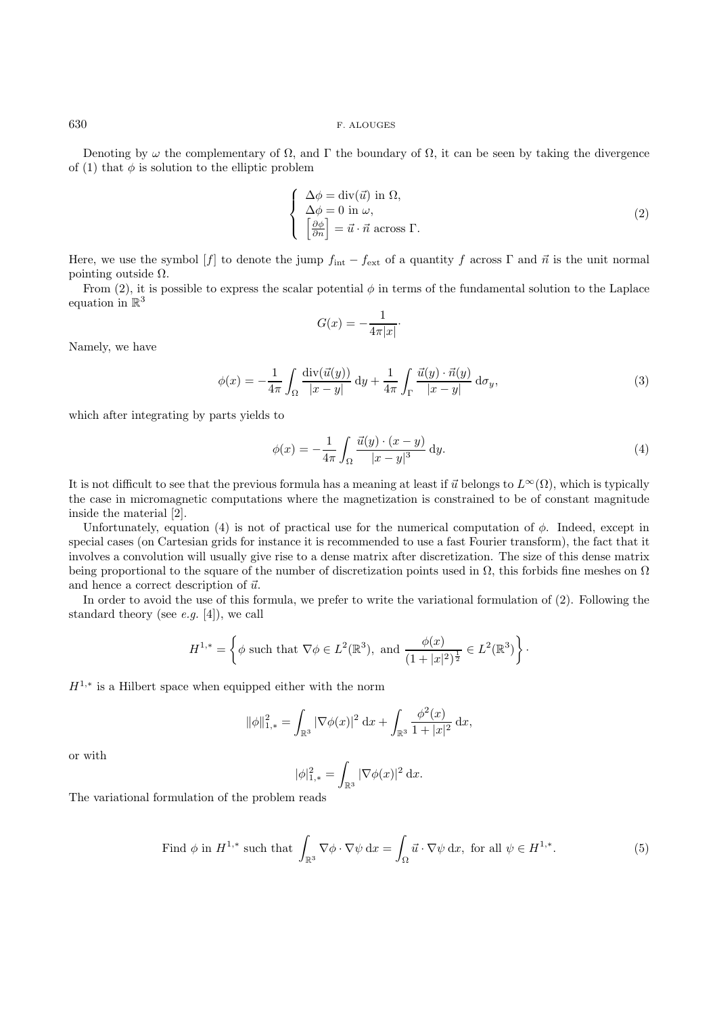Denoting by  $\omega$  the complementary of  $\Omega$ , and Γ the boundary of  $\Omega$ , it can be seen by taking the divergence of (1) that  $\phi$  is solution to the elliptic problem

$$
\begin{cases}\n\Delta \phi = \text{div}(\vec{u}) \text{ in } \Omega, \\
\Delta \phi = 0 \text{ in } \omega, \\
\left[\frac{\partial \phi}{\partial n}\right] = \vec{u} \cdot \vec{n} \text{ across } \Gamma.\n\end{cases}
$$
\n(2)

Here, we use the symbol  $[f]$  to denote the jump  $f_{int} - f_{ext}$  of a quantity f across  $\Gamma$  and  $\vec{n}$  is the unit normal pointing outside  $\Omega$ .

From (2), it is possible to express the scalar potential  $\phi$  in terms of the fundamental solution to the Laplace equation in  $\mathbb{R}^3$ 

$$
G(x) = -\frac{1}{4\pi|x|}.
$$

Namely, we have

$$
\phi(x) = -\frac{1}{4\pi} \int_{\Omega} \frac{\text{div}(\vec{u}(y))}{|x - y|} \, \mathrm{d}y + \frac{1}{4\pi} \int_{\Gamma} \frac{\vec{u}(y) \cdot \vec{n}(y)}{|x - y|} \, \mathrm{d}\sigma_y,\tag{3}
$$

which after integrating by parts yields to

$$
\phi(x) = -\frac{1}{4\pi} \int_{\Omega} \frac{\vec{u}(y) \cdot (x - y)}{|x - y|^3} dy.
$$
\n
$$
(4)
$$

It is not difficult to see that the previous formula has a meaning at least if  $\vec{u}$  belongs to  $L^{\infty}(\Omega)$ , which is typically the case in micromagnetic computations where the magnetization is constrained to be of constant magnitude inside the material [2].

Unfortunately, equation (4) is not of practical use for the numerical computation of  $\phi$ . Indeed, except in special cases (on Cartesian grids for instance it is recommended to use a fast Fourier transform), the fact that it involves a convolution will usually give rise to a dense matrix after discretization. The size of this dense matrix being proportional to the square of the number of discretization points used in  $\Omega$ , this forbids fine meshes on  $\Omega$ and hence a correct description of  $\vec{u}$ .

In order to avoid the use of this formula, we prefer to write the variational formulation of (2). Following the standard theory (see *e.g.* [4]), we call

$$
H^{1,*} = \left\{ \phi \text{ such that } \nabla \phi \in L^2(\mathbb{R}^3), \text{ and } \frac{\phi(x)}{(1+|x|^2)^{\frac{1}{2}}} \in L^2(\mathbb{R}^3) \right\}.
$$

 $H^{1,*}$  is a Hilbert space when equipped either with the norm

$$
\|\phi\|_{1,*}^2 = \int_{\mathbb{R}^3} |\nabla \phi(x)|^2 \, \mathrm{d}x + \int_{\mathbb{R}^3} \frac{\phi^2(x)}{1+|x|^2} \, \mathrm{d}x,
$$

or with

$$
|\phi|_{1,*}^2 = \int_{\mathbb{R}^3} |\nabla \phi(x)|^2 \, \mathrm{d}x.
$$

The variational formulation of the problem reads

Find 
$$
\phi
$$
 in  $H^{1,*}$  such that  $\int_{\mathbb{R}^3} \nabla \phi \cdot \nabla \psi \, dx = \int_{\Omega} \vec{u} \cdot \nabla \psi \, dx$ , for all  $\psi \in H^{1,*}$ . (5)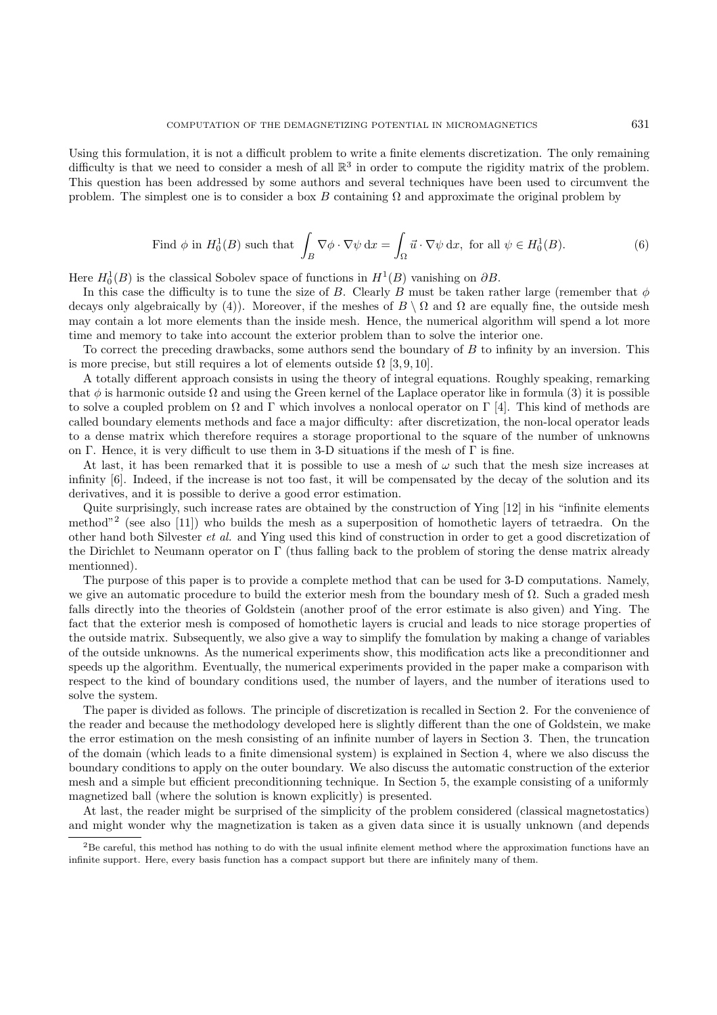Using this formulation, it is not a difficult problem to write a finite elements discretization. The only remaining difficulty is that we need to consider a mesh of all  $\mathbb{R}^3$  in order to compute the rigidity matrix of the problem. This question has been addressed by some authors and several techniques have been used to circumvent the problem. The simplest one is to consider a box B containing  $\Omega$  and approximate the original problem by

Find 
$$
\phi
$$
 in  $H_0^1(B)$  such that  $\int_B \nabla \phi \cdot \nabla \psi \, dx = \int_{\Omega} \vec{u} \cdot \nabla \psi \, dx$ , for all  $\psi \in H_0^1(B)$ . (6)

Here  $H_0^1(B)$  is the classical Sobolev space of functions in  $H^1(B)$  vanishing on  $\partial B$ .

In this case the difficulty is to tune the size of B. Clearly B must be taken rather large (remember that  $\phi$ decays only algebraically by (4)). Moreover, if the meshes of  $B \setminus \Omega$  and  $\Omega$  are equally fine, the outside mesh may contain a lot more elements than the inside mesh. Hence, the numerical algorithm will spend a lot more time and memory to take into account the exterior problem than to solve the interior one.

To correct the preceding drawbacks, some authors send the boundary of B to infinity by an inversion. This is more precise, but still requires a lot of elements outside  $\Omega$  [3, 9, 10].

A totally different approach consists in using the theory of integral equations. Roughly speaking, remarking that  $\phi$  is harmonic outside  $\Omega$  and using the Green kernel of the Laplace operator like in formula (3) it is possible to solve a coupled problem on  $\Omega$  and  $\Gamma$  which involves a nonlocal operator on  $\Gamma$  [4]. This kind of methods are called boundary elements methods and face a major difficulty: after discretization, the non-local operator leads to a dense matrix which therefore requires a storage proportional to the square of the number of unknowns on Γ. Hence, it is very difficult to use them in 3-D situations if the mesh of  $\Gamma$  is fine.

At last, it has been remarked that it is possible to use a mesh of  $\omega$  such that the mesh size increases at infinity [6]. Indeed, if the increase is not too fast, it will be compensated by the decay of the solution and its derivatives, and it is possible to derive a good error estimation.

Quite surprisingly, such increase rates are obtained by the construction of Ying [12] in his "infinite elements method"<sup>2</sup> (see also [11]) who builds the mesh as a superposition of homothetic layers of tetraedra. On the other hand both Silvester et al. and Ying used this kind of construction in order to get a good discretization of the Dirichlet to Neumann operator on  $\Gamma$  (thus falling back to the problem of storing the dense matrix already mentionned).

The purpose of this paper is to provide a complete method that can be used for 3-D computations. Namely, we give an automatic procedure to build the exterior mesh from the boundary mesh of  $\Omega$ . Such a graded mesh falls directly into the theories of Goldstein (another proof of the error estimate is also given) and Ying. The fact that the exterior mesh is composed of homothetic layers is crucial and leads to nice storage properties of the outside matrix. Subsequently, we also give a way to simplify the fomulation by making a change of variables of the outside unknowns. As the numerical experiments show, this modification acts like a preconditionner and speeds up the algorithm. Eventually, the numerical experiments provided in the paper make a comparison with respect to the kind of boundary conditions used, the number of layers, and the number of iterations used to solve the system.

The paper is divided as follows. The principle of discretization is recalled in Section 2. For the convenience of the reader and because the methodology developed here is slightly different than the one of Goldstein, we make the error estimation on the mesh consisting of an infinite number of layers in Section 3. Then, the truncation of the domain (which leads to a finite dimensional system) is explained in Section 4, where we also discuss the boundary conditions to apply on the outer boundary. We also discuss the automatic construction of the exterior mesh and a simple but efficient preconditionning technique. In Section 5, the example consisting of a uniformly magnetized ball (where the solution is known explicitly) is presented.

At last, the reader might be surprised of the simplicity of the problem considered (classical magnetostatics) and might wonder why the magnetization is taken as a given data since it is usually unknown (and depends

 $2B$ e careful, this method has nothing to do with the usual infinite element method where the approximation functions have an infinite support. Here, every basis function has a compact support but there are infinitely many of them.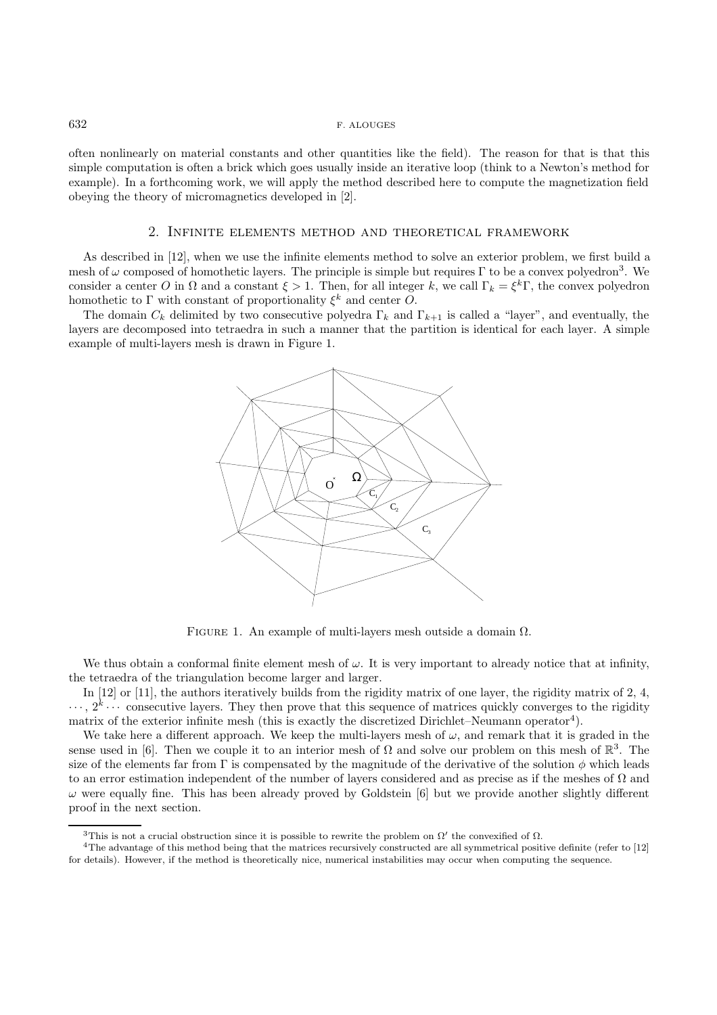often nonlinearly on material constants and other quantities like the field). The reason for that is that this simple computation is often a brick which goes usually inside an iterative loop (think to a Newton's method for example). In a forthcoming work, we will apply the method described here to compute the magnetization field obeying the theory of micromagnetics developed in [2].

#### 2. Infinite elements method and theoretical framework

As described in [12], when we use the infinite elements method to solve an exterior problem, we first build a mesh of  $\omega$  composed of homothetic layers. The principle is simple but requires Γ to be a convex polyedron<sup>3</sup>. We consider a center O in  $\Omega$  and a constant  $\xi > 1$ . Then, for all integer k, we call  $\Gamma_k = \xi^k \Gamma$ , the convex polyedron homothetic to  $\Gamma$  with constant of proportionality  $\xi^k$  and center  $\tilde{O}$ .

The domain  $C_k$  delimited by two consecutive polyedra  $\Gamma_k$  and  $\Gamma_{k+1}$  is called a "layer", and eventually, the layers are decomposed into tetraedra in such a manner that the partition is identical for each layer. A simple example of multi-layers mesh is drawn in Figure 1.



FIGURE 1. An example of multi-layers mesh outside a domain  $\Omega$ .

We thus obtain a conformal finite element mesh of  $\omega$ . It is very important to already notice that at infinity, the tetraedra of the triangulation become larger and larger.

In [12] or [11], the authors iteratively builds from the rigidity matrix of one layer, the rigidity matrix of 2, 4,  $\cdots$ ,  $2^k \cdots$  consecutive layers. They then prove that this sequence of matrices quickly converges to the rigidity matrix of the exterior infinite mesh (this is exactly the discretized Dirichlet–Neumann operator<sup>4</sup>).

We take here a different approach. We keep the multi-layers mesh of  $\omega$ , and remark that it is graded in the sense used in [6]. Then we couple it to an interior mesh of  $\Omega$  and solve our problem on this mesh of  $\mathbb{R}^3$ . The size of the elements far from Γ is compensated by the magnitude of the derivative of the solution  $\phi$  which leads to an error estimation independent of the number of layers considered and as precise as if the meshes of  $\Omega$  and  $\omega$  were equally fine. This has been already proved by Goldstein [6] but we provide another slightly different proof in the next section.

<sup>&</sup>lt;sup>3</sup>This is not a crucial obstruction since it is possible to rewrite the problem on  $\Omega'$  the convexified of  $\Omega$ .

<sup>4</sup>The advantage of this method being that the matrices recursively constructed are all symmetrical positive definite (refer to [12] for details). However, if the method is theoretically nice, numerical instabilities may occur when computing the sequence.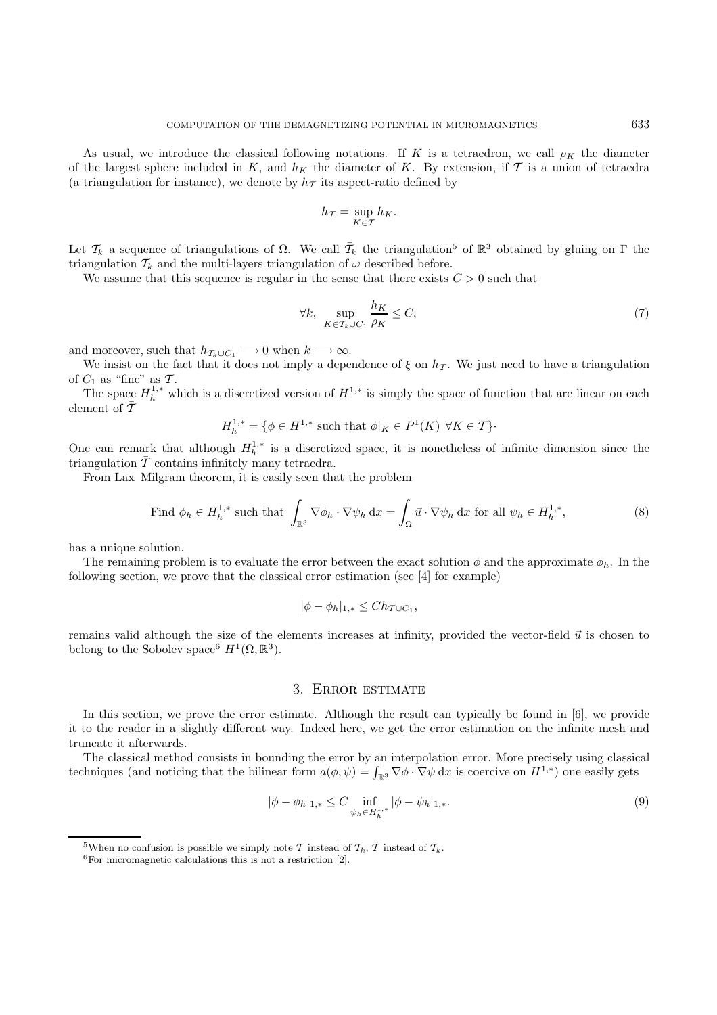As usual, we introduce the classical following notations. If K is a tetraedron, we call  $\rho_K$  the diameter of the largest sphere included in K, and  $h<sub>K</sub>$  the diameter of K. By extension, if T is a union of tetraedra (a triangulation for instance), we denote by  $h<sub>T</sub>$  its aspect-ratio defined by

$$
h_{\mathcal{T}} = \sup_{K \in \mathcal{T}} h_K.
$$

Let  $\mathcal{T}_k$  a sequence of triangulations of  $\Omega$ . We call  $\bar{\mathcal{T}}_k$  the triangulation<sup>5</sup> of  $\mathbb{R}^3$  obtained by gluing on  $\Gamma$  the triangulation  $\mathcal{T}_k$  and the multi-layers triangulation of  $\omega$  described before.

We assume that this sequence is regular in the sense that there exists  $C > 0$  such that

$$
\forall k, \quad \sup_{K \in \mathcal{T}_k \cup C_1} \frac{h_K}{\rho_K} \le C,\tag{7}
$$

and moreover, such that  $h_{\mathcal{T}_k\cup C_1} \longrightarrow 0$  when  $k \longrightarrow \infty$ .

We insist on the fact that it does not imply a dependence of  $\xi$  on  $h<sub>T</sub>$ . We just need to have a triangulation of  $C_1$  as "fine" as  $\mathcal{T}$ .

The space  $H_h^{1,*}$  which is a discretized version of  $H^{1,*}$  is simply the space of function that are linear on each element of  $\bar{T}$ 

$$
H_h^{1,*} = \{ \phi \in H^{1,*} \text{ such that } \phi|_K \in P^1(K) \,\,\forall K \in \overline{\mathcal{I}} \}.
$$

One can remark that although  $H_h^{1,*}$  is a discretized space, it is nonetheless of infinite dimension since the triangulation  $\bar{\mathcal{T}}$  contains infinitely many tetraedra.

From Lax–Milgram theorem, it is easily seen that the problem

Find 
$$
\phi_h \in H_h^{1,*}
$$
 such that  $\int_{\mathbb{R}^3} \nabla \phi_h \cdot \nabla \psi_h \, dx = \int_{\Omega} \vec{u} \cdot \nabla \psi_h \, dx$  for all  $\psi_h \in H_h^{1,*}$ , (8)

has a unique solution.

The remaining problem is to evaluate the error between the exact solution  $\phi$  and the approximate  $\phi_h$ . In the following section, we prove that the classical error estimation (see [4] for example)

$$
|\phi - \phi_h|_{1,*} \leq Ch_{\mathcal{T} \cup C_1},
$$

remains valid although the size of the elements increases at infinity, provided the vector-field  $\vec{u}$  is chosen to belong to the Sobolev space<sup>6</sup>  $H^1(\Omega,\mathbb{R}^3)$ .

#### 3. Error estimate

In this section, we prove the error estimate. Although the result can typically be found in [6], we provide it to the reader in a slightly different way. Indeed here, we get the error estimation on the infinite mesh and truncate it afterwards.

The classical method consists in bounding the error by an interpolation error. More precisely using classical techniques (and noticing that the bilinear form  $a(\phi, \psi) = \int_{\mathbb{R}^3} \nabla \phi \cdot \nabla \psi \,dx$  is coercive on  $H^{1,*}$ ) one easily gets

$$
|\phi - \phi_h|_{1,*} \le C \inf_{\psi_h \in H_h^{1,*}} |\phi - \psi_h|_{1,*}.
$$
 (9)

<sup>&</sup>lt;sup>5</sup>When no confusion is possible we simply note T instead of  $\overline{\mathcal{I}}_k$ ,  $\overline{\mathcal{I}}$  instead of  $\overline{\mathcal{I}}_k$ .<br><sup>6</sup>For micromagnetic calculations this is not a restriction [2].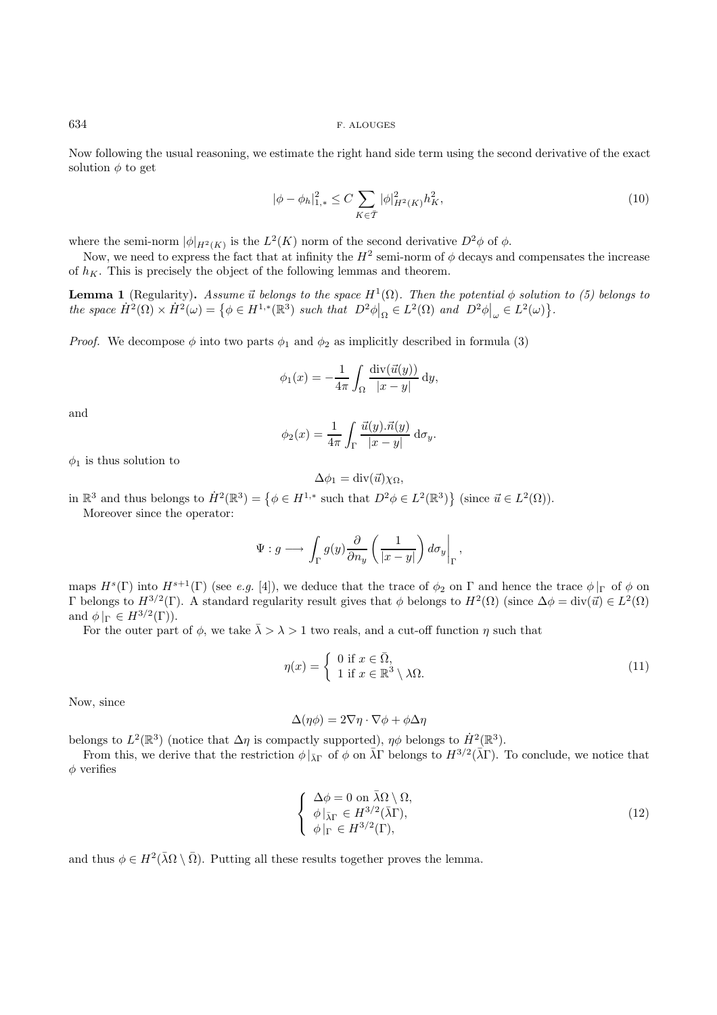Now following the usual reasoning, we estimate the right hand side term using the second derivative of the exact solution  $\phi$  to get

$$
|\phi - \phi_h|_{1,*}^2 \le C \sum_{K \in \overline{\mathcal{T}}} |\phi|_{H^2(K)}^2 h_K^2,
$$
\n(10)

where the semi-norm  $|\phi|_{H^2(K)}$  is the  $L^2(K)$  norm of the second derivative  $D^2\phi$  of  $\phi$ .

Now, we need to express the fact that at infinity the  $H^2$  semi-norm of  $\phi$  decays and compensates the increase of  $h_K$ . This is precisely the object of the following lemmas and theorem.

**Lemma 1** (Regularity). Assume  $\vec{u}$  belongs to the space  $H^1(\Omega)$ . Then the potential  $\phi$  solution to (5) belongs to the space  $\dot{H}^2(\Omega) \times \dot{H}^2(\omega) = \{ \phi \in H^{1,*}(\mathbb{R}^3) \text{ such that } D^2\phi \vert_{\Omega} \in L^2(\Omega) \text{ and } D^2\phi \vert_{\omega} \in L^2(\omega) \}.$ 

*Proof.* We decompose  $\phi$  into two parts  $\phi_1$  and  $\phi_2$  as implicitly described in formula (3)

$$
\phi_1(x) = -\frac{1}{4\pi} \int_{\Omega} \frac{\operatorname{div}(\vec{u}(y))}{|x - y|} \, \mathrm{d}y,
$$

and

$$
\phi_2(x) = \frac{1}{4\pi} \int_{\Gamma} \frac{\vec{u}(y).\vec{n}(y)}{|x - y|} d\sigma_y.
$$

 $\phi_1$  is thus solution to

$$
\Delta \phi_1 = \operatorname{div}(\vec{u}) \chi_{\Omega},
$$

in  $\mathbb{R}^3$  and thus belongs to  $\dot{H}^2(\mathbb{R}^3) = \{ \phi \in H^{1,*} \text{ such that } D^2\phi \in L^2(\mathbb{R}^3) \}$  (since  $\vec{u} \in L^2(\Omega)$ ).

Moreover since the operator:

$$
\Psi: g \longrightarrow \int_{\Gamma} g(y) \frac{\partial}{\partial n_y} \left( \frac{1}{|x-y|} \right) d\sigma_y \bigg|_{\Gamma},
$$

maps  $H^s(\Gamma)$  into  $H^{s+1}(\Gamma)$  (see e.g. [4]), we deduce that the trace of  $\phi_2$  on  $\Gamma$  and hence the trace  $\phi|_{\Gamma}$  of  $\phi$  on Γ belongs to  $H^{3/2}(\Gamma)$ . A standard regularity result gives that φ belongs to  $H^2(\Omega)$  (since  $\Delta \phi = \text{div}(\vec{u}) \in L^2(\Omega)$ ) and  $\phi|_{\Gamma} \in H^{3/2}(\Gamma)$ ).

For the outer part of  $\phi$ , we take  $\bar{\lambda} > \lambda > 1$  two reals, and a cut-off function  $\eta$  such that

$$
\eta(x) = \begin{cases} 0 \text{ if } x \in \bar{\Omega}, \\ 1 \text{ if } x \in \mathbb{R}^3 \setminus \lambda\Omega. \end{cases}
$$
\n(11)

Now, since

$$
\Delta(\eta \phi) = 2\nabla \eta \cdot \nabla \phi + \phi \Delta \eta
$$

belongs to  $L^2(\mathbb{R}^3)$  (notice that  $\Delta \eta$  is compactly supported),  $\eta \phi$  belongs to  $\dot{H}^2(\mathbb{R}^3)$ .

From this, we derive that the restriction  $\phi|_{\bar{\lambda} \Gamma}$  of  $\phi$  on  $\bar{\lambda} \Gamma$  belongs to  $H^{3/2}(\bar{\lambda} \Gamma)$ . To conclude, we notice that  $\phi$  verifies

$$
\begin{cases} \Delta \phi = 0 \text{ on } \bar{\lambda} \Omega \setminus \Omega, \\ \phi \vert_{\bar{\lambda} \Gamma} \in H^{3/2}(\bar{\lambda} \Gamma), \\ \phi \vert_{\Gamma} \in H^{3/2}(\Gamma), \end{cases}
$$
(12)

and thus  $\phi \in H^2(\bar{\lambda}\Omega \setminus \bar{\Omega})$ . Putting all these results together proves the lemma.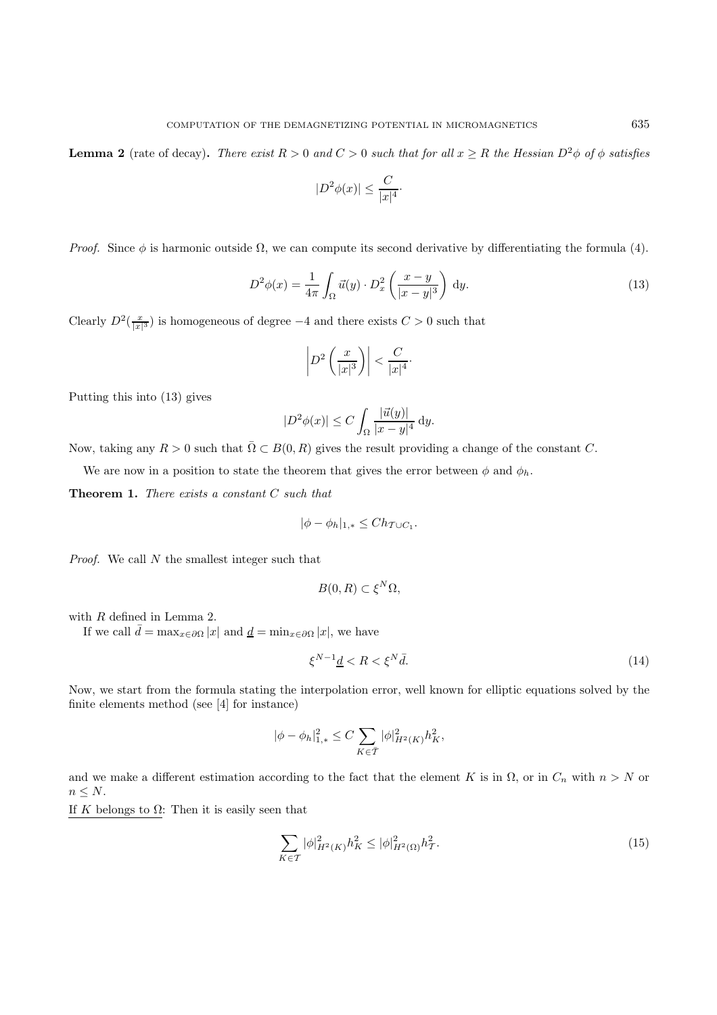**Lemma 2** (rate of decay). There exist  $R > 0$  and  $C > 0$  such that for all  $x \geq R$  the Hessian  $D^2\phi$  of  $\phi$  satisfies

$$
|D^2\phi(x)| \le \frac{C}{|x|^4}.
$$

*Proof.* Since  $\phi$  is harmonic outside  $\Omega$ , we can compute its second derivative by differentiating the formula (4).

$$
D^2 \phi(x) = \frac{1}{4\pi} \int_{\Omega} \vec{u}(y) \cdot D_x^2 \left(\frac{x-y}{|x-y|^3}\right) dy.
$$
 (13)

Clearly  $D^2(\frac{x}{|x|^3})$  is homogeneous of degree  $-4$  and there exists  $C > 0$  such that

$$
\left| D^2 \left( \frac{x}{|x|^3} \right) \right| < \frac{C}{|x|^4}.
$$

Putting this into (13) gives

$$
|D^2\phi(x)| \le C \int_{\Omega} \frac{|\vec{u}(y)|}{|x-y|^4} dy.
$$

Now, taking any  $R > 0$  such that  $\overline{\Omega} \subset B(0, R)$  gives the result providing a change of the constant C.

We are now in a position to state the theorem that gives the error between  $\phi$  and  $\phi_h$ .

**Theorem 1.** There exists a constant C such that

$$
|\phi - \phi_h|_{1,*} \leq Ch_{\mathcal{T} \cup C_1}.
$$

Proof. We call  $N$  the smallest integer such that

$$
B(0,R) \subset \xi^N \Omega,
$$

with  $R$  defined in Lemma 2.

If we call  $\bar{d} = \max_{x \in \partial \Omega} |x|$  and  $\underline{d} = \min_{x \in \partial \Omega} |x|$ , we have

$$
\xi^{N-1}\underline{d} < R < \xi^N \bar{d}.\tag{14}
$$

Now, we start from the formula stating the interpolation error, well known for elliptic equations solved by the finite elements method (see [4] for instance)

$$
|\phi - \phi_h|_{1,*}^2 \le C \sum_{K \in \overline{\mathcal{T}}} |\phi|_{H^2(K)}^2 h_K^2,
$$

and we make a different estimation according to the fact that the element K is in  $\Omega$ , or in  $C_n$  with  $n>N$  or  $n \leq N$ .

If K belongs to  $\Omega$ : Then it is easily seen that

$$
\sum_{K \in \mathcal{T}} |\phi|_{H^2(K)}^2 h_K^2 \le |\phi|_{H^2(\Omega)}^2 h_\mathcal{T}^2. \tag{15}
$$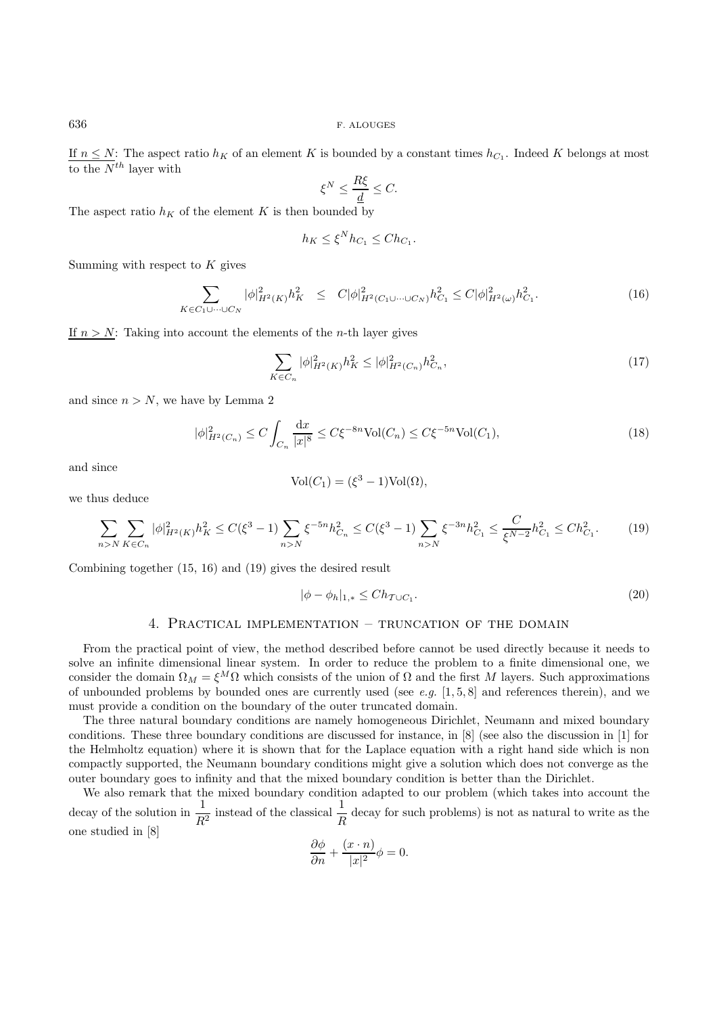If  $n \leq N$ : The aspect ratio  $h_K$  of an element K is bounded by a constant times  $h_{C_1}$ . Indeed K belongs at most to the  $N^{th}$  layer with

$$
\xi^N \le \frac{R\xi}{\underline{d}} \le C.
$$

The aspect ratio  $h_K$  of the element K is then bounded by

$$
h_K \le \xi^N h_{C_1} \le Ch_{C_1}.
$$

Summing with respect to  $K$  gives

$$
\sum_{K \in C_1 \cup \dots \cup C_N} |\phi|_{H^2(K)}^2 h_K^2 \le C |\phi|_{H^2(C_1 \cup \dots \cup C_N)}^2 h_{C_1}^2 \le C |\phi|_{H^2(\omega)}^2 h_{C_1}^2.
$$
\n(16)

If  $n > N$ : Taking into account the elements of the *n*-th layer gives

$$
\sum_{K \in C_n} |\phi|_{H^2(K)}^2 h_K^2 \le |\phi|_{H^2(C_n)}^2 h_{C_n}^2,\tag{17}
$$

and since  $n > N$ , we have by Lemma 2

$$
|\phi|_{H^2(C_n)}^2 \le C \int_{C_n} \frac{dx}{|x|^8} \le C\xi^{-8n} \text{Vol}(C_n) \le C\xi^{-5n} \text{Vol}(C_1),\tag{18}
$$

and since

$$
Vol(C_1) = (\xi^3 - 1) Vol(\Omega),
$$

we thus deduce

$$
\sum_{n>N} \sum_{K \in C_n} |\phi|_{H^2(K)}^2 h_K^2 \le C(\xi^3 - 1) \sum_{n>N} \xi^{-5n} h_{C_n}^2 \le C(\xi^3 - 1) \sum_{n>N} \xi^{-3n} h_{C_1}^2 \le \frac{C}{\xi^{N-2}} h_{C_1}^2 \le Ch_{C_1}^2. \tag{19}
$$

Combining together (15, 16) and (19) gives the desired result

$$
|\phi - \phi_h|_{1,*} \le Ch_{\mathcal{T} \cup C_1}.\tag{20}
$$

## 4. Practical implementation – truncation of the domain

From the practical point of view, the method described before cannot be used directly because it needs to solve an infinite dimensional linear system. In order to reduce the problem to a finite dimensional one, we consider the domain  $\Omega_M = \xi^M \Omega$  which consists of the union of  $\Omega$  and the first M layers. Such approximations of unbounded problems by bounded ones are currently used (see e.g.  $[1, 5, 8]$  and references therein), and we must provide a condition on the boundary of the outer truncated domain.

The three natural boundary conditions are namely homogeneous Dirichlet, Neumann and mixed boundary conditions. These three boundary conditions are discussed for instance, in [8] (see also the discussion in [1] for the Helmholtz equation) where it is shown that for the Laplace equation with a right hand side which is non compactly supported, the Neumann boundary conditions might give a solution which does not converge as the outer boundary goes to infinity and that the mixed boundary condition is better than the Dirichlet.

We also remark that the mixed boundary condition adapted to our problem (which takes into account the decay of the solution in  $\frac{1}{R^2}$  instead of the classical  $\frac{1}{R}$  decay for such problems) is not as natural to write as the one studied in [8]

$$
\frac{\partial \phi}{\partial n} + \frac{(x \cdot n)}{|x|^2} \phi = 0.
$$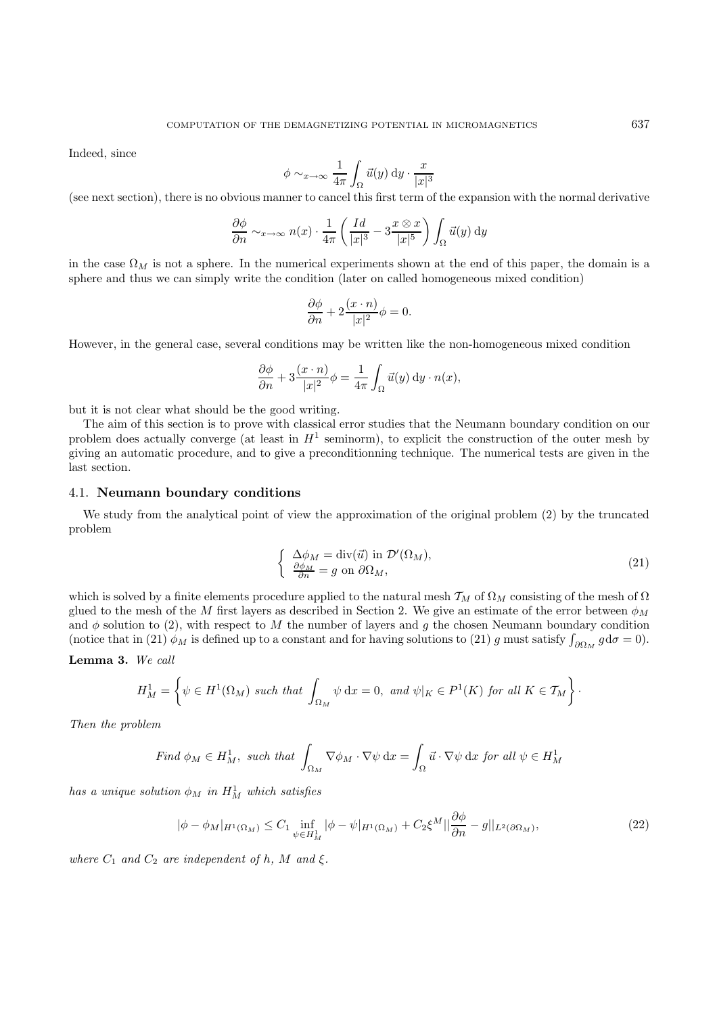Indeed, since

$$
\phi \sim_{x \to \infty} \frac{1}{4\pi} \int_{\Omega} \vec{u}(y) dy \cdot \frac{x}{|x|^3}
$$

(see next section), there is no obvious manner to cancel this first term of the expansion with the normal derivative

$$
\frac{\partial \phi}{\partial n} \sim_{x \to \infty} n(x) \cdot \frac{1}{4\pi} \left( \frac{Id}{|x|^3} - 3 \frac{x \otimes x}{|x|^5} \right) \int_{\Omega} \vec{u}(y) \, dy
$$

in the case  $\Omega_M$  is not a sphere. In the numerical experiments shown at the end of this paper, the domain is a sphere and thus we can simply write the condition (later on called homogeneous mixed condition)

$$
\frac{\partial \phi}{\partial n} + 2 \frac{(x \cdot n)}{|x|^2} \phi = 0.
$$

However, in the general case, several conditions may be written like the non-homogeneous mixed condition

$$
\frac{\partial \phi}{\partial n} + 3 \frac{(x \cdot n)}{|x|^2} \phi = \frac{1}{4\pi} \int_{\Omega} \vec{u}(y) \, dy \cdot n(x),
$$

but it is not clear what should be the good writing.

The aim of this section is to prove with classical error studies that the Neumann boundary condition on our problem does actually converge (at least in  $H^1$  seminorm), to explicit the construction of the outer mesh by giving an automatic procedure, and to give a preconditionning technique. The numerical tests are given in the last section.

## 4.1. **Neumann boundary conditions**

We study from the analytical point of view the approximation of the original problem (2) by the truncated problem

$$
\begin{cases}\n\Delta \phi_M = \text{div}(\vec{u}) \text{ in } \mathcal{D}'(\Omega_M), \\
\frac{\partial \phi_M}{\partial n} = g \text{ on } \partial \Omega_M,\n\end{cases}
$$
\n(21)

which is solved by a finite elements procedure applied to the natural mesh  $T_M$  of  $\Omega_M$  consisting of the mesh of  $\Omega$ glued to the mesh of the M first layers as described in Section 2. We give an estimate of the error between  $\phi_M$ and  $\phi$  solution to (2), with respect to M the number of layers and g the chosen Neumann boundary condition (notice that in (21)  $\phi_M$  is defined up to a constant and for having solutions to (21) g must satisfy  $\int_{\partial \Omega_M} g d\sigma = 0$ ).

## **Lemma 3.** We call

$$
H_M^1 = \left\{ \psi \in H^1(\Omega_M) \text{ such that } \int_{\Omega_M} \psi \, dx = 0, \text{ and } \psi|_K \in P^1(K) \text{ for all } K \in \mathcal{T}_M \right\}.
$$

Then the problem

Find 
$$
\phi_M \in H^1_M
$$
, such that  $\int_{\Omega_M} \nabla \phi_M \cdot \nabla \psi \, dx = \int_{\Omega} \vec{u} \cdot \nabla \psi \, dx$  for all  $\psi \in H^1_M$ 

has a unique solution  $\phi_M$  in  $H_M^1$  which satisfies

$$
|\phi - \phi_M|_{H^1(\Omega_M)} \le C_1 \inf_{\psi \in H^1_M} |\phi - \psi|_{H^1(\Omega_M)} + C_2 \xi^M ||\frac{\partial \phi}{\partial n} - g||_{L^2(\partial \Omega_M)},
$$
\n(22)

where  $C_1$  and  $C_2$  are independent of h, M and  $\xi$ .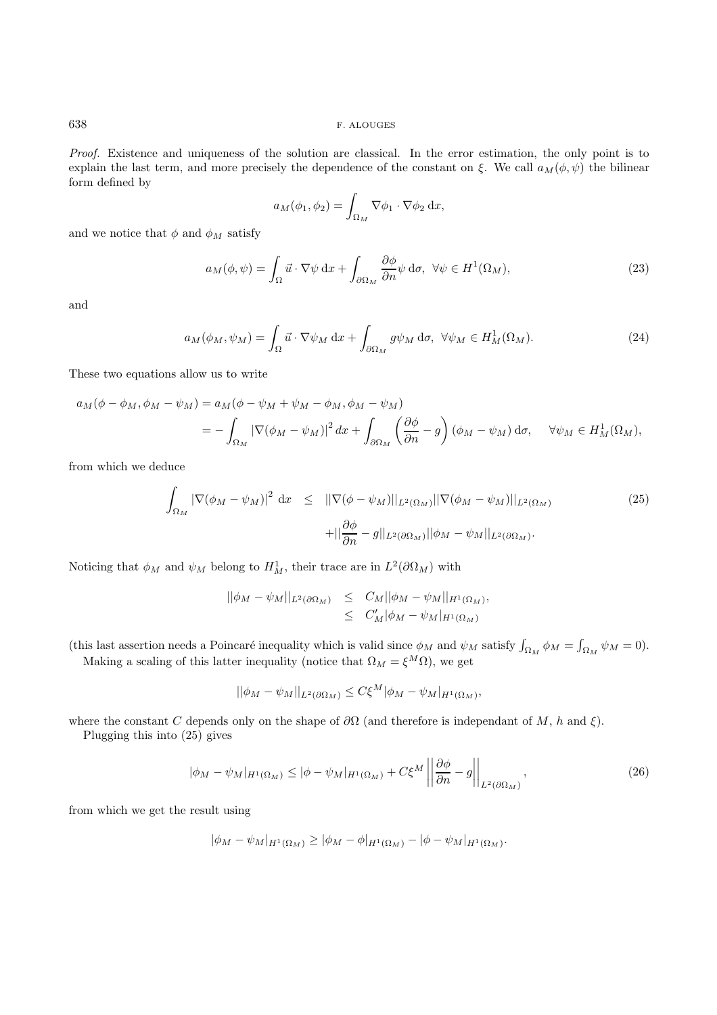Proof. Existence and uniqueness of the solution are classical. In the error estimation, the only point is to explain the last term, and more precisely the dependence of the constant on  $\xi$ . We call  $a_M(\phi, \psi)$  the bilinear form defined by

$$
a_M(\phi_1, \phi_2) = \int_{\Omega_M} \nabla \phi_1 \cdot \nabla \phi_2 \, \mathrm{d}x,
$$

and we notice that  $\phi$  and  $\phi_M$  satisfy

$$
a_M(\phi, \psi) = \int_{\Omega} \vec{u} \cdot \nabla \psi \, dx + \int_{\partial \Omega_M} \frac{\partial \phi}{\partial n} \psi \, d\sigma, \ \forall \psi \in H^1(\Omega_M), \tag{23}
$$

and

$$
a_M(\phi_M, \psi_M) = \int_{\Omega} \vec{u} \cdot \nabla \psi_M \, dx + \int_{\partial \Omega_M} g \psi_M \, d\sigma, \ \forall \psi_M \in H^1_M(\Omega_M). \tag{24}
$$

These two equations allow us to write

$$
a_M(\phi - \phi_M, \phi_M - \psi_M) = a_M(\phi - \psi_M + \psi_M - \phi_M, \phi_M - \psi_M)
$$
  
= 
$$
- \int_{\Omega_M} |\nabla(\phi_M - \psi_M)|^2 dx + \int_{\partial\Omega_M} \left(\frac{\partial \phi}{\partial n} - g\right) (\phi_M - \psi_M) d\sigma, \quad \forall \psi_M \in H^1(M)
$$

from which we deduce

$$
\int_{\Omega_M} |\nabla(\phi_M - \psi_M)|^2 dx \leq ||\nabla(\phi - \psi_M)||_{L^2(\Omega_M)} ||\nabla(\phi_M - \psi_M)||_{L^2(\Omega_M)} \tag{25}
$$
\n
$$
+ ||\frac{\partial \phi}{\partial n} - g||_{L^2(\partial \Omega_M)} ||\phi_M - \psi_M||_{L^2(\partial \Omega_M)}.
$$

Noticing that  $\phi_M$  and  $\psi_M$  belong to  $H_M^1$ , their trace are in  $L^2(\partial \Omega_M)$  with

$$
\begin{array}{rcl}\n||\phi_M - \psi_M||_{L^2(\partial \Omega_M)} & \leq & C_M ||\phi_M - \psi_M||_{H^1(\Omega_M)}, \\
& \leq & C'_M |\phi_M - \psi_M|_{H^1(\Omega_M)}\n\end{array}
$$

(this last assertion needs a Poincaré inequality which is valid since  $\phi_M$  and  $\psi_M$  satisfy  $\int_{\Omega_M} \phi_M = \int_{\Omega_M} \psi_M = 0$ ). Making a scaling of this latter inequality (notice that  $\Omega_M = \xi^M \Omega$ ), we get

$$
||\phi_M - \psi_M||_{L^2(\partial \Omega_M)} \leq C\xi^M |\phi_M - \psi_M|_{H^1(\Omega_M)},
$$

where the constant C depends only on the shape of  $\partial\Omega$  (and therefore is independant of M, h and  $\xi$ ).

Plugging this into (25) gives

$$
|\phi_M - \psi_M|_{H^1(\Omega_M)} \le |\phi - \psi_M|_{H^1(\Omega_M)} + C\xi^M \left| \left| \frac{\partial \phi}{\partial n} - g \right| \right|_{L^2(\partial \Omega_M)},\tag{26}
$$

from which we get the result using

$$
|\phi_M - \psi_M|_{H^1(\Omega_M)} \ge |\phi_M - \phi|_{H^1(\Omega_M)} - |\phi - \psi_M|_{H^1(\Omega_M)}.
$$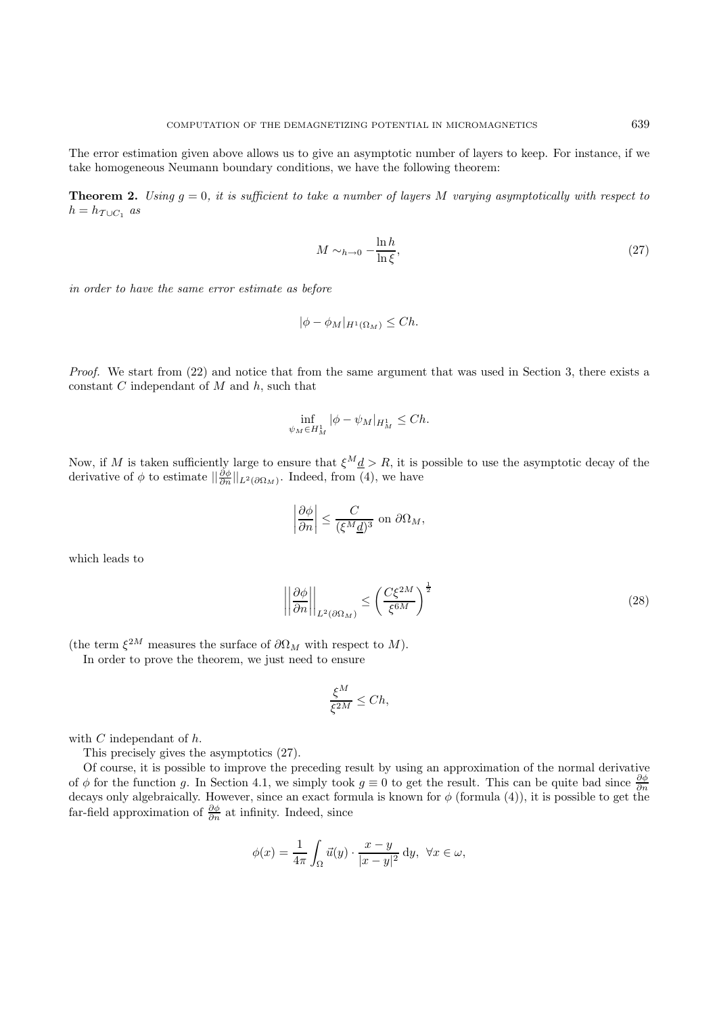The error estimation given above allows us to give an asymptotic number of layers to keep. For instance, if we take homogeneous Neumann boundary conditions, we have the following theorem:

**Theorem 2.** Using  $q = 0$ , it is sufficient to take a number of layers M varying asymptotically with respect to  $h = h_{\mathcal{T}\cup C_1}$  as

$$
M \sim_{h \to 0} -\frac{\ln h}{\ln \xi},\tag{27}
$$

in order to have the same error estimate as before

$$
|\phi - \phi_M|_{H^1(\Omega_M)} \le Ch.
$$

Proof. We start from (22) and notice that from the same argument that was used in Section 3, there exists a constant  $C$  independant of  $M$  and  $h$ , such that

$$
\inf_{\psi_M \in H^1_M} |\phi - \psi_M|_{H^1_M} \le Ch.
$$

Now, if M is taken sufficiently large to ensure that  $\xi^M \underline{d} > R$ , it is possible to use the asymptotic decay of the derivative of  $\phi$  to estimate  $\|\frac{\partial \phi}{\partial n}\|_{L^2(\partial \Omega_M)}$ . Indeed, from (4), we have

$$
\left|\frac{\partial\phi}{\partial n}\right| \le \frac{C}{(\xi^M \underline{d})^3} \text{ on } \partial\Omega_M,
$$

which leads to

$$
\left| \left| \frac{\partial \phi}{\partial n} \right| \right|_{L^2(\partial \Omega_M)} \le \left( \frac{C \xi^{2M}}{\xi^{6M}} \right)^{\frac{1}{2}} \tag{28}
$$

(the term  $\xi^{2M}$  measures the surface of  $\partial \Omega_M$  with respect to M).

In order to prove the theorem, we just need to ensure

$$
\frac{\xi^M}{\xi^{2M}} \le Ch,
$$

with  $C$  independant of  $h$ .

This precisely gives the asymptotics (27).

Of course, it is possible to improve the preceding result by using an approximation of the normal derivative of  $\phi$  for the function g. In Section 4.1, we simply took  $g \equiv 0$  to get the result. This can be quite bad since  $\frac{\partial \phi}{\partial n}$ decays only algebraically. However, since an exact formula is known for  $\phi$  (formula (4)), it is possible to get the far-field approximation of  $\frac{\partial \phi}{\partial n}$  at infinity. Indeed, since

$$
\phi(x) = \frac{1}{4\pi} \int_{\Omega} \vec{u}(y) \cdot \frac{x - y}{|x - y|^2} \, dy, \ \forall x \in \omega,
$$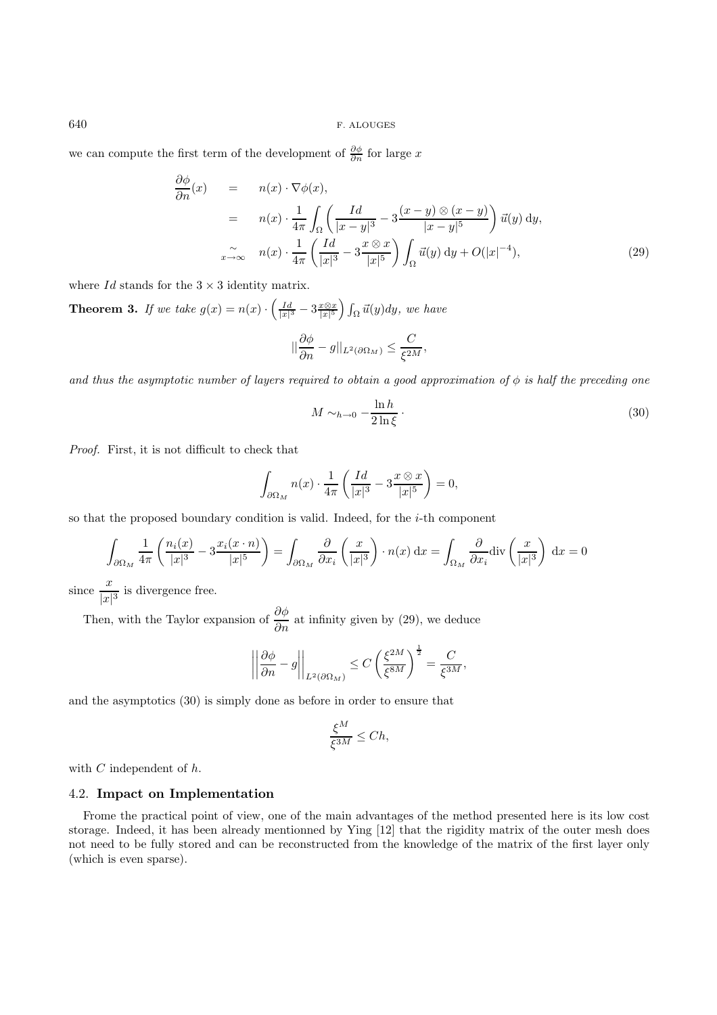we can compute the first term of the development of  $\frac{\partial \phi}{\partial n}$  for large x

$$
\frac{\partial \phi}{\partial n}(x) = n(x) \cdot \nabla \phi(x),
$$
\n
$$
= n(x) \cdot \frac{1}{4\pi} \int_{\Omega} \left( \frac{Id}{|x-y|^3} - 3\frac{(x-y) \otimes (x-y)}{|x-y|^5} \right) \vec{u}(y) dy,
$$
\n
$$
\sum_{x \to \infty} n(x) \cdot \frac{1}{4\pi} \left( \frac{Id}{|x|^3} - 3\frac{x \otimes x}{|x|^5} \right) \int_{\Omega} \vec{u}(y) dy + O(|x|^{-4}), \tag{29}
$$

where  $Id$  stands for the  $3 \times 3$  identity matrix.

**Theorem 3.** If we take  $g(x) = n(x) \cdot \left( \frac{Id}{|x|^3} - 3 \frac{x \otimes x}{|x|^5} \right) \int_{\Omega} \vec{u}(y) dy$ , we have

$$
||\frac{\partial \phi}{\partial n} - g||_{L^2(\partial \Omega_M)} \leq \frac{C}{\xi^{2M}},
$$

and thus the asymptotic number of layers required to obtain a good approximation of  $\phi$  is half the preceding one

$$
M \sim_{h \to 0} -\frac{\ln h}{2 \ln \xi} \tag{30}
$$

Proof. First, it is not difficult to check that

$$
\int_{\partial\Omega_M} n(x) \cdot \frac{1}{4\pi} \left( \frac{Id}{|x|^3} - 3\frac{x \otimes x}{|x|^5} \right) = 0,
$$

so that the proposed boundary condition is valid. Indeed, for the  $i$ -th component

$$
\int_{\partial\Omega_M} \frac{1}{4\pi} \left( \frac{n_i(x)}{|x|^3} - 3\frac{x_i(x \cdot n)}{|x|^5} \right) = \int_{\partial\Omega_M} \frac{\partial}{\partial x_i} \left( \frac{x}{|x|^3} \right) \cdot n(x) \, \mathrm{d}x = \int_{\Omega_M} \frac{\partial}{\partial x_i} \mathrm{div} \left( \frac{x}{|x|^3} \right) \, \mathrm{d}x = 0
$$

since  $\frac{x}{|x|^3}$  is divergence free.

Then, with the Taylor expansion of  $\frac{\partial \phi}{\partial n}$  at infinity given by (29), we deduce

$$
\left| \left| \frac{\partial \phi}{\partial n} - g \right| \right|_{L^2(\partial \Omega_M)} \le C \left( \frac{\xi^{2M}}{\xi^{8M}} \right)^{\frac{1}{2}} = \frac{C}{\xi^{3M}},
$$

and the asymptotics (30) is simply done as before in order to ensure that

$$
\frac{\xi^M}{\xi^{3M}} \le Ch,
$$

with  $C$  independent of  $h$ .

#### 4.2. **Impact on Implementation**

Frome the practical point of view, one of the main advantages of the method presented here is its low cost storage. Indeed, it has been already mentionned by Ying [12] that the rigidity matrix of the outer mesh does not need to be fully stored and can be reconstructed from the knowledge of the matrix of the first layer only (which is even sparse).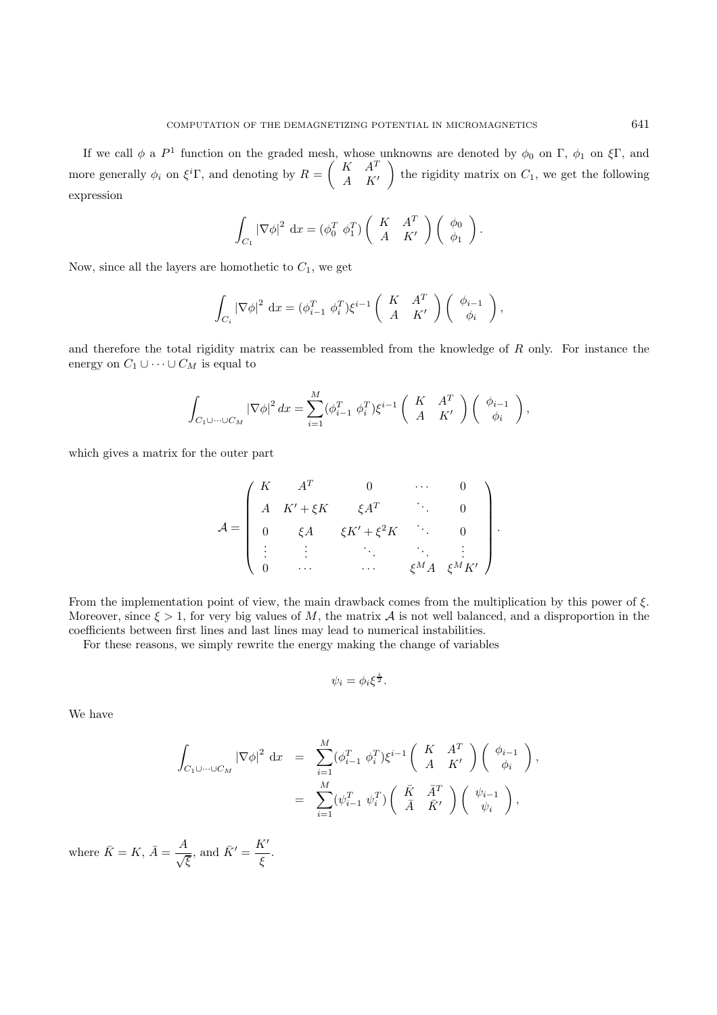If we call  $\phi$  a  $P^1$  function on the graded mesh, whose unknowns are denoted by  $\phi_0$  on  $\Gamma$ ,  $\phi_1$  on  $\xi\Gamma$ , and more generally  $\phi_i$  on  $\xi^i \Gamma$ , and denoting by  $R = \begin{pmatrix} K & A^T \\ A & K^T \end{pmatrix}$  $A$   $K'$ the rigidity matrix on  $C_1$ , we get the following expression

$$
\int_{C_1} |\nabla \phi|^2 dx = (\phi_0^T \phi_1^T) \begin{pmatrix} K & A^T \\ A & K' \end{pmatrix} \begin{pmatrix} \phi_0 \\ \phi_1 \end{pmatrix}.
$$

Now, since all the layers are homothetic to  $C_1$ , we get

$$
\int_{C_i} |\nabla \phi|^2 dx = (\phi_{i-1}^T \phi_i^T) \xi^{i-1} \begin{pmatrix} K & A^T \\ A & K' \end{pmatrix} \begin{pmatrix} \phi_{i-1} \\ \phi_i \end{pmatrix},
$$

and therefore the total rigidity matrix can be reassembled from the knowledge of  $R$  only. For instance the energy on  $C_1 \cup \cdots \cup C_M$  is equal to

$$
\int_{C_1 \cup \cdots \cup C_M} |\nabla \phi|^2 dx = \sum_{i=1}^M (\phi_{i-1}^T \phi_i^T) \xi^{i-1} \begin{pmatrix} K & A^T \\ A & K' \end{pmatrix} \begin{pmatrix} \phi_{i-1} \\ \phi_i \end{pmatrix},
$$

which gives a matrix for the outer part

$$
\mathcal{A} = \begin{pmatrix} K & A^T & 0 & \cdots & 0 \\ A & K' + \xi K & \xi A^T & \ddots & 0 \\ 0 & \xi A & \xi K' + \xi^2 K & \ddots & 0 \\ \vdots & \vdots & \ddots & \ddots & \vdots \\ 0 & \cdots & \cdots & \xi^M A & \xi^M K' \end{pmatrix}.
$$

From the implementation point of view, the main drawback comes from the multiplication by this power of  $\xi$ . Moreover, since  $\xi > 1$ , for very big values of M, the matrix A is not well balanced, and a disproportion in the coefficients between first lines and last lines may lead to numerical instabilities.

For these reasons, we simply rewrite the energy making the change of variables

$$
\psi_i = \phi_i \xi^{\frac{i}{2}}.
$$

We have

$$
\int_{C_1 \cup \cdots \cup C_M} |\nabla \phi|^2 dx = \sum_{i=1}^M (\phi_{i-1}^T \phi_i^T) \xi^{i-1} \begin{pmatrix} K & A^T \\ A & K' \end{pmatrix} \begin{pmatrix} \phi_{i-1} \\ \phi_i \end{pmatrix},
$$
  

$$
= \sum_{i=1}^M (\psi_{i-1}^T \psi_i^T) \begin{pmatrix} \bar{K} & \bar{A}^T \\ \bar{A} & \bar{K}' \end{pmatrix} \begin{pmatrix} \psi_{i-1} \\ \psi_i \end{pmatrix},
$$

where  $\bar{K} = K$ ,  $\bar{A} = \frac{A}{\sqrt{\xi}}$ , and  $\bar{K}' = \frac{K'}{\xi}$ .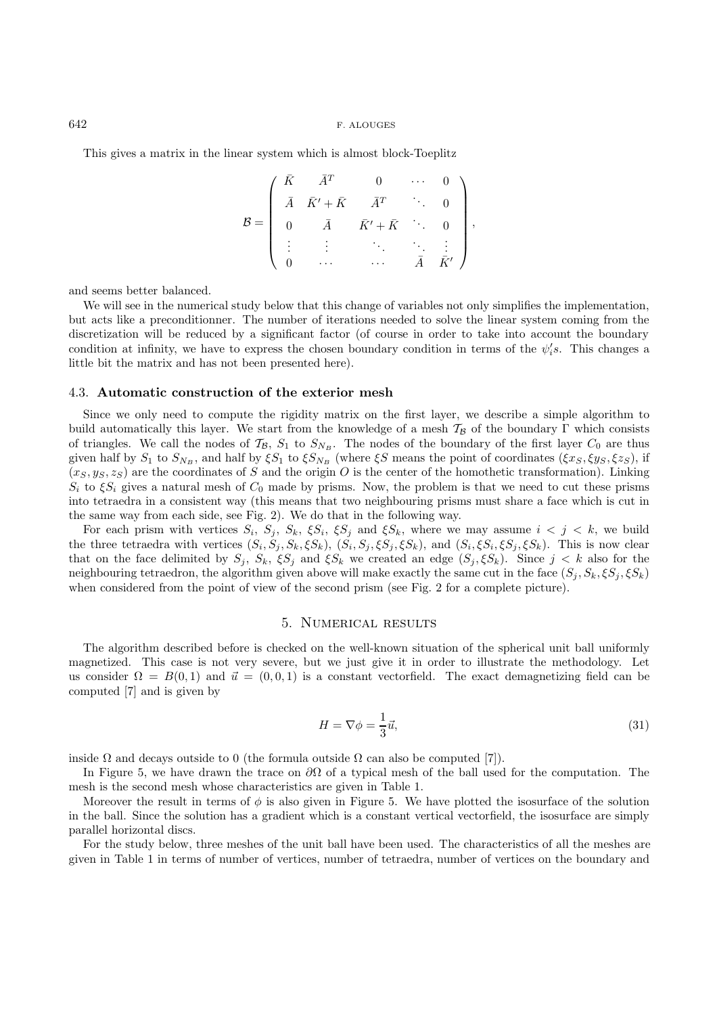This gives a matrix in the linear system which is almost block-Toeplitz

$$
\mathcal{B} = \left( \begin{array}{cccc} \bar{K} & \bar{A}^T & 0 & \cdots & 0 \\ \bar{A} & \bar{K}' + \bar{K} & \bar{A}^T & \cdots & 0 \\ 0 & \bar{A} & \bar{K}' + \bar{K} & \cdots & 0 \\ \vdots & \vdots & \ddots & \ddots & \vdots \\ 0 & \cdots & \cdots & \bar{A} & \bar{K}' \end{array} \right),
$$

and seems better balanced.

We will see in the numerical study below that this change of variables not only simplifies the implementation, but acts like a preconditionner. The number of iterations needed to solve the linear system coming from the discretization will be reduced by a significant factor (of course in order to take into account the boundary condition at infinity, we have to express the chosen boundary condition in terms of the  $\psi_i's$ . This changes a little bit the matrix and has not been presented here).

#### 4.3. **Automatic construction of the exterior mesh**

Since we only need to compute the rigidity matrix on the first layer, we describe a simple algorithm to build automatically this layer. We start from the knowledge of a mesh  $T_B$  of the boundary Γ which consists of triangles. We call the nodes of  $\mathcal{T}_{\mathcal{B}}$ ,  $S_1$  to  $S_{N_B}$ . The nodes of the boundary of the first layer  $C_0$  are thus given half by  $S_1$  to  $S_{N_B}$ , and half by  $\xi S_1$  to  $\xi S_{N_B}$  (where  $\xi S$  means the point of coordinates ( $\xi x_S, \xi y_S, \xi z_S$ ), if  $(x_S, y_S, z_S)$  are the coordinates of S and the origin O is the center of the homothetic transformation). Linking  $S_i$  to  $\xi S_i$  gives a natural mesh of  $C_0$  made by prisms. Now, the problem is that we need to cut these prisms into tetraedra in a consistent way (this means that two neighbouring prisms must share a face which is cut in the same way from each side, see Fig. 2). We do that in the following way.

For each prism with vertices  $S_i$ ,  $S_j$ ,  $S_k$ ,  $\xi S_j$ ,  $\xi S_j$  and  $\xi S_k$ , where we may assume  $i < j < k$ , we build the three tetraedra with vertices  $(S_i, S_j, S_k, \xi S_k)$ ,  $(S_i, S_j, \xi S_j, \xi S_k)$ , and  $(S_i, \xi S_i, \xi S_j, \xi S_k)$ . This is now clear that on the face delimited by  $S_j$ ,  $S_k$ ,  $\xi S_j$  and  $\xi S_k$  we created an edge  $(S_j, \xi S_k)$ . Since  $j < k$  also for the neighbouring tetraedron, the algorithm given above will make exactly the same cut in the face  $(S_i, S_k, \xi S_i, \xi S_k)$ when considered from the point of view of the second prism (see Fig. 2 for a complete picture).

### 5. Numerical results

The algorithm described before is checked on the well-known situation of the spherical unit ball uniformly magnetized. This case is not very severe, but we just give it in order to illustrate the methodology. Let us consider  $\Omega = B(0,1)$  and  $\vec{u} = (0,0,1)$  is a constant vectorfield. The exact demagnetizing field can be computed [7] and is given by

$$
H = \nabla \phi = \frac{1}{3}\vec{u},\tag{31}
$$

inside  $\Omega$  and decays outside to 0 (the formula outside  $\Omega$  can also be computed [7]).

In Figure 5, we have drawn the trace on  $\partial\Omega$  of a typical mesh of the ball used for the computation. The mesh is the second mesh whose characteristics are given in Table 1.

Moreover the result in terms of  $\phi$  is also given in Figure 5. We have plotted the isosurface of the solution in the ball. Since the solution has a gradient which is a constant vertical vectorfield, the isosurface are simply parallel horizontal discs.

For the study below, three meshes of the unit ball have been used. The characteristics of all the meshes are given in Table 1 in terms of number of vertices, number of tetraedra, number of vertices on the boundary and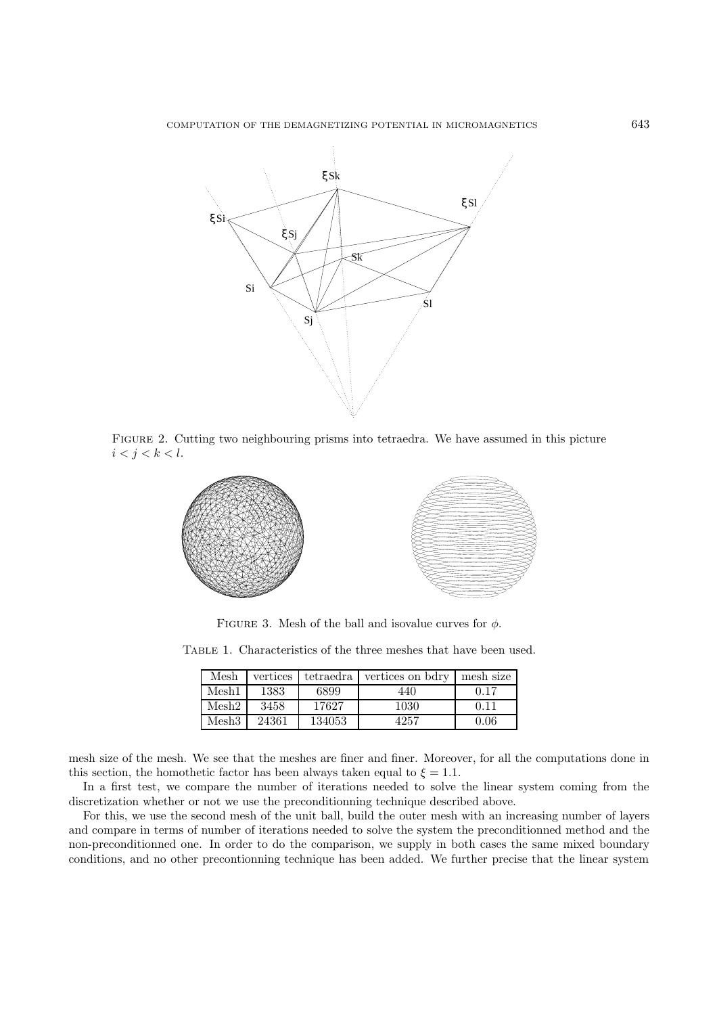

Figure 2. Cutting two neighbouring prisms into tetraedra. We have assumed in this picture  $i < j < k < l$ .



FIGURE 3. Mesh of the ball and isovalue curves for  $\phi$ .

Table 1. Characteristics of the three meshes that have been used.

| Mesh  | vertices | tetraedra | vertices on bdry | mesh size |
|-------|----------|-----------|------------------|-----------|
| Mesh1 | 1383     | 6899      | 440              | 0.17      |
| Mesh2 | 3458     | 17627     | 1030             |           |
| Mesh3 | 24361    | 134053    | 4257             | $0.06\,$  |

mesh size of the mesh. We see that the meshes are finer and finer. Moreover, for all the computations done in this section, the homothetic factor has been always taken equal to  $\xi = 1.1$ .

In a first test, we compare the number of iterations needed to solve the linear system coming from the discretization whether or not we use the preconditionning technique described above.

For this, we use the second mesh of the unit ball, build the outer mesh with an increasing number of layers and compare in terms of number of iterations needed to solve the system the preconditionned method and the non-preconditionned one. In order to do the comparison, we supply in both cases the same mixed boundary conditions, and no other precontionning technique has been added. We further precise that the linear system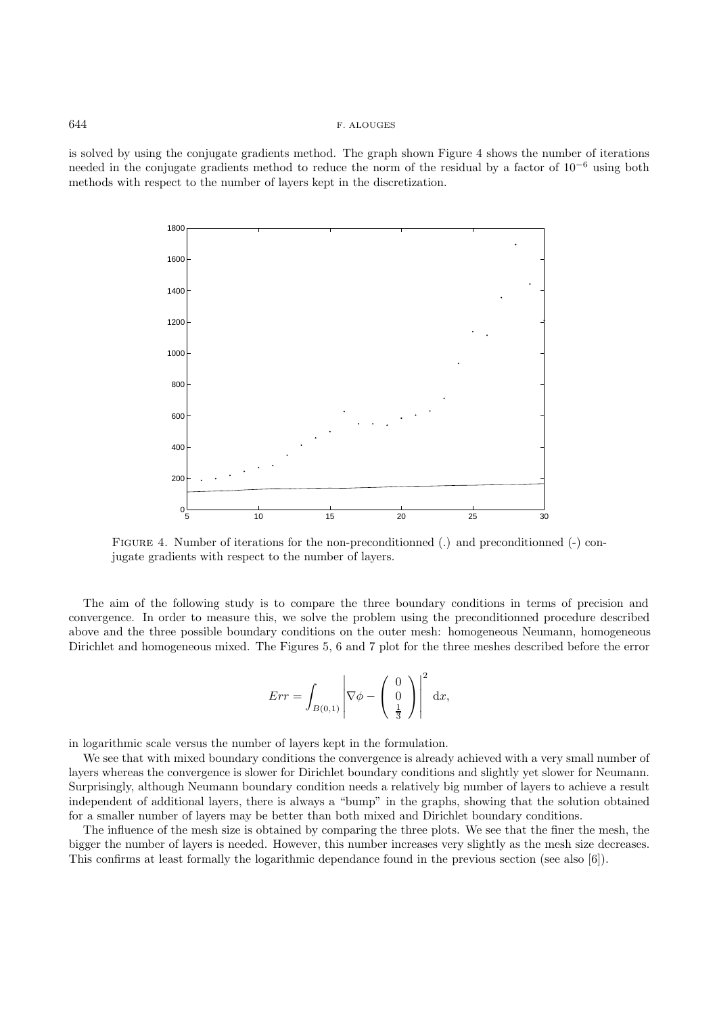is solved by using the conjugate gradients method. The graph shown Figure 4 shows the number of iterations needed in the conjugate gradients method to reduce the norm of the residual by a factor of  $10^{-6}$  using both methods with respect to the number of layers kept in the discretization.



Figure 4. Number of iterations for the non-preconditionned (.) and preconditionned (-) conjugate gradients with respect to the number of layers.

The aim of the following study is to compare the three boundary conditions in terms of precision and convergence. In order to measure this, we solve the problem using the preconditionned procedure described above and the three possible boundary conditions on the outer mesh: homogeneous Neumann, homogeneous Dirichlet and homogeneous mixed. The Figures 5, 6 and 7 plot for the three meshes described before the error

$$
Err = \int_{B(0,1)} \left| \nabla \phi - \begin{pmatrix} 0 \\ 0 \\ \frac{1}{3} \end{pmatrix} \right|^2 dx,
$$

in logarithmic scale versus the number of layers kept in the formulation.

We see that with mixed boundary conditions the convergence is already achieved with a very small number of layers whereas the convergence is slower for Dirichlet boundary conditions and slightly yet slower for Neumann. Surprisingly, although Neumann boundary condition needs a relatively big number of layers to achieve a result independent of additional layers, there is always a "bump" in the graphs, showing that the solution obtained for a smaller number of layers may be better than both mixed and Dirichlet boundary conditions.

The influence of the mesh size is obtained by comparing the three plots. We see that the finer the mesh, the bigger the number of layers is needed. However, this number increases very slightly as the mesh size decreases. This confirms at least formally the logarithmic dependance found in the previous section (see also [6]).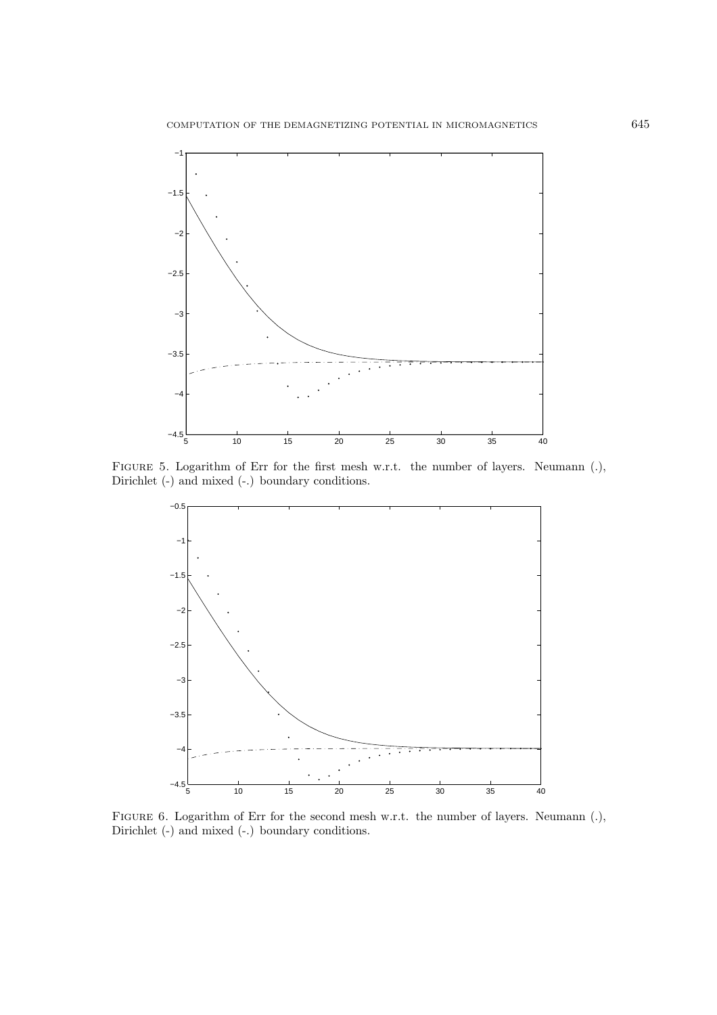

FIGURE 5. Logarithm of Err for the first mesh w.r.t. the number of layers. Neumann (.), Dirichlet (-) and mixed (-.) boundary conditions.



FIGURE 6. Logarithm of Err for the second mesh w.r.t. the number of layers. Neumann (.), Dirichlet (-) and mixed (-.) boundary conditions.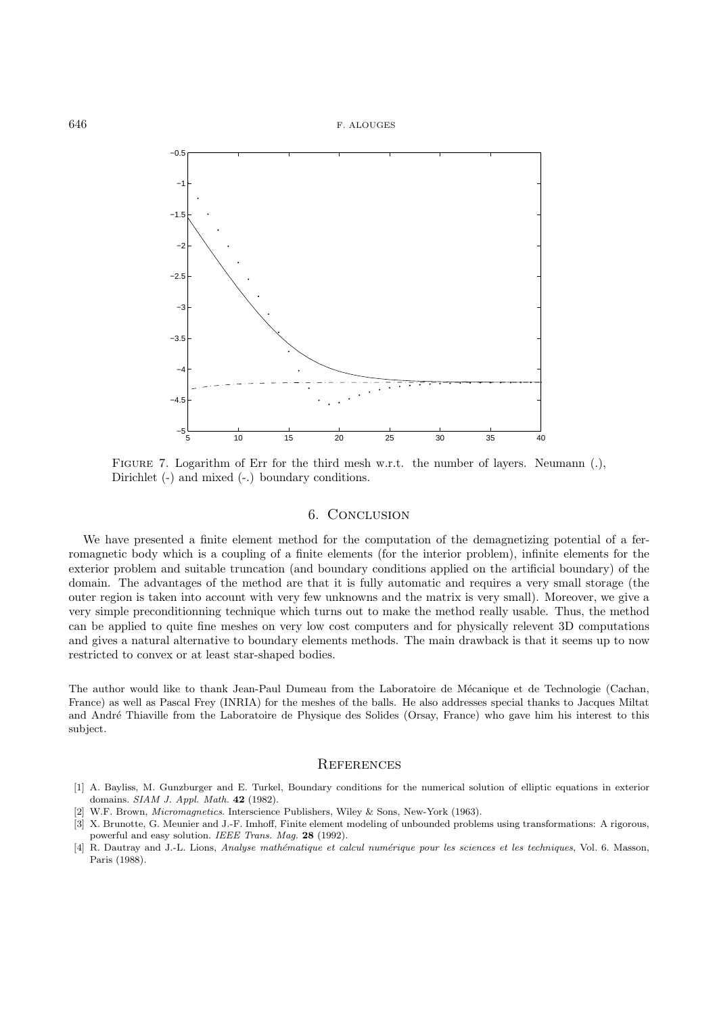

FIGURE 7. Logarithm of Err for the third mesh w.r.t. the number of layers. Neumann (.), Dirichlet (-) and mixed (-.) boundary conditions.

#### 6. Conclusion

We have presented a finite element method for the computation of the demagnetizing potential of a ferromagnetic body which is a coupling of a finite elements (for the interior problem), infinite elements for the exterior problem and suitable truncation (and boundary conditions applied on the artificial boundary) of the domain. The advantages of the method are that it is fully automatic and requires a very small storage (the outer region is taken into account with very few unknowns and the matrix is very small). Moreover, we give a very simple preconditionning technique which turns out to make the method really usable. Thus, the method can be applied to quite fine meshes on very low cost computers and for physically relevent 3D computations and gives a natural alternative to boundary elements methods. The main drawback is that it seems up to now restricted to convex or at least star-shaped bodies.

The author would like to thank Jean-Paul Dumeau from the Laboratoire de Mécanique et de Technologie (Cachan, France) as well as Pascal Frey (INRIA) for the meshes of the balls. He also addresses special thanks to Jacques Miltat and André Thiaville from the Laboratoire de Physique des Solides (Orsay, France) who gave him his interest to this subject.

## **REFERENCES**

- [1] A. Bayliss, M. Gunzburger and E. Turkel, Boundary conditions for the numerical solution of elliptic equations in exterior domains. SIAM J. Appl. Math. **42** (1982).
- W.F. Brown, *Micromagnetics*. Interscience Publishers, Wiley & Sons, New-York (1963).
- [3] X. Brunotte, G. Meunier and J.-F. Imhoff, Finite element modeling of unbounded problems using transformations: A rigorous, powerful and easy solution. IEEE Trans. Mag. **28** (1992).
- [4] R. Dautray and J.-L. Lions, Analyse mathématique et calcul numérique pour les sciences et les techniques, Vol. 6. Masson, Paris (1988).